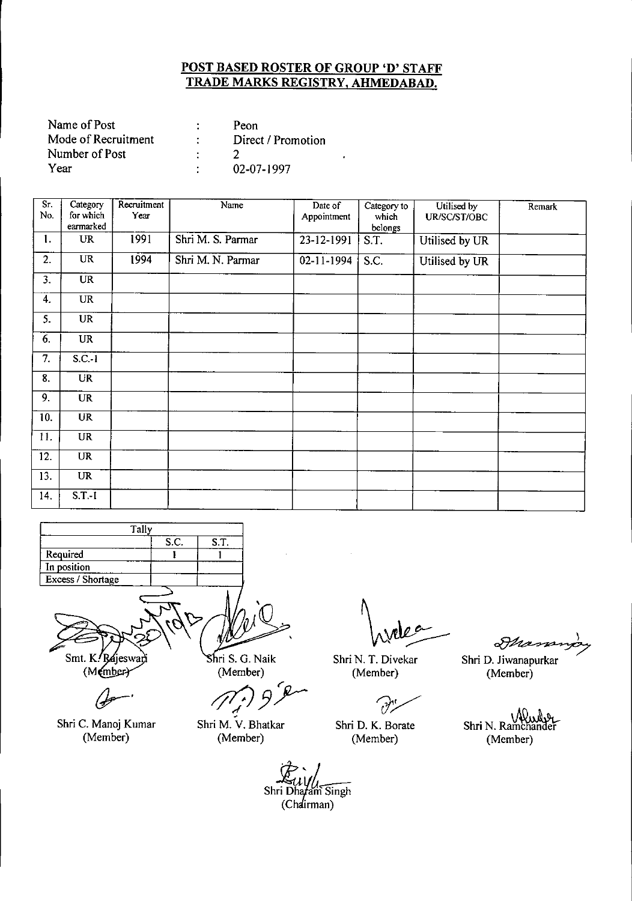| Name of Post        | Peon               |
|---------------------|--------------------|
| Mode of Recruitment | Direct / Promotion |
| Number of Post      |                    |
| Year                | 02-07-1997         |

| Sr.<br>No.     | Category<br>for which  | Recruitment<br>Year | Name              | Date of<br>Appointment   | Category to<br>which | Utilised by<br>UR/SC/ST/OBC | Remark |
|----------------|------------------------|---------------------|-------------------|--------------------------|----------------------|-----------------------------|--------|
|                | earmarked              |                     |                   |                          | belongs              |                             |        |
| 1.             | <b>UR</b>              | 1991                | Shri M. S. Parmar | 23-12-1991               | S.T.                 | Utilised by UR              |        |
| 2.             | <b>UR</b>              | 1994                | Shri M. N. Parmar | $\overline{02}$ -11-1994 | S.C.                 | Utilised by UR              |        |
| 3.             | $\overline{\text{UR}}$ |                     |                   |                          |                      |                             |        |
| 4.             | <b>UR</b>              |                     |                   |                          |                      |                             |        |
| 5.             | <b>UR</b>              |                     |                   |                          |                      |                             |        |
| 6.             | <b>UR</b>              |                     |                   |                          |                      |                             |        |
| 7.             | $S.C.-1$               |                     |                   |                          |                      |                             |        |
| 8.             | <b>UR</b>              |                     |                   |                          |                      |                             |        |
| 9 <sub>1</sub> | <b>UR</b>              |                     |                   |                          |                      |                             |        |
| 10.            | <b>UR</b>              |                     |                   |                          |                      |                             |        |
| 11.            | <b>UR</b>              |                     |                   |                          |                      |                             |        |
| 12.            | <b>UR</b>              |                     |                   |                          |                      |                             |        |
| 13.            | <b>UR</b>              |                     |                   |                          |                      |                             |        |
| 14.            | $S.T.-I$               |                     |                   |                          |                      |                             |        |



(Member)

(}r-'

Shri C. Manoj Kumar (Member)

(Member)

*r* **b**<br> **1979**<br> **1979**<br> **1979**<br> **1979**<br> **1979**<br> **1979** 

Shri M. V. Bhatkar (Member)

Shri N. T. Divekar (Member)

 $\partial$ 

Shri D. K. Borate (Member)

Mana

Shri D. Jiwanapurkar (Member)

Shri N. Ramchander (Member)

er<br>Shri Dhafam S (Chairman)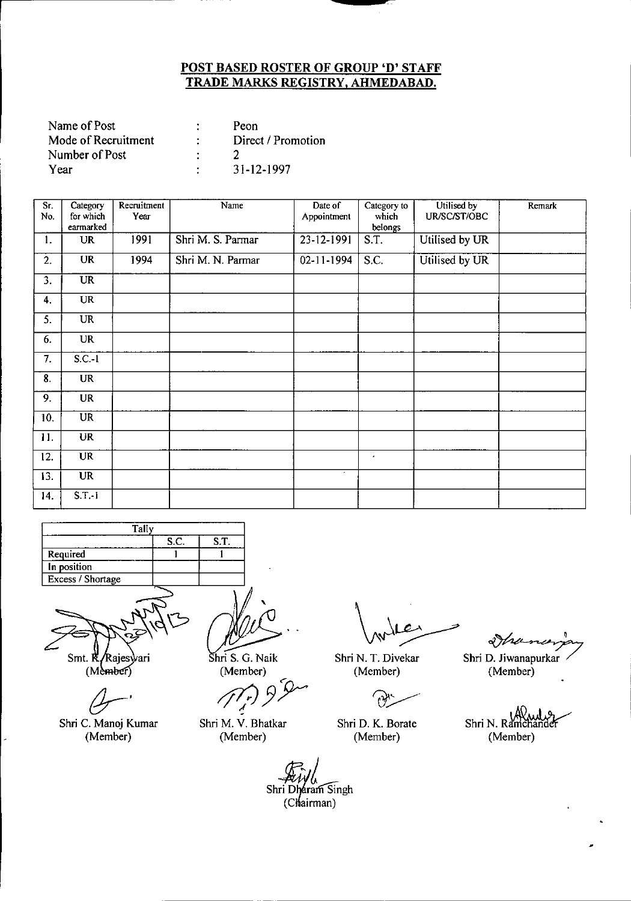| Name of Post        |   | Peon               |
|---------------------|---|--------------------|
| Mode of Recruitment |   | Direct / Promotion |
| Number of Post      | ٠ |                    |
| Year                |   | 31-12-1997         |

| Sr.              | Category               | Recruitment | Name              | Date of     | Category to | Utilised by    | Remark |
|------------------|------------------------|-------------|-------------------|-------------|-------------|----------------|--------|
| No.              | for which              | Үеаг        |                   | Appointment | which       | UR/SC/ST/OBC   |        |
|                  | earmarked              |             |                   |             | belongs     |                |        |
| 1.               | <b>UR</b>              | 1991        | Shri M. S. Parmar | 23-12-1991  | S.T.        | Utilised by UR |        |
| 2.               | <b>UR</b>              | 1994        | Shri M. N. Parmar | 02-11-1994  | S.C.        | Utilised by UR |        |
| $\overline{3}$ . | $\overline{\text{UR}}$ |             |                   |             |             |                |        |
| 4.               | <b>UR</b>              |             |                   |             |             |                |        |
| 5.               | <b>UR</b>              |             |                   |             |             |                |        |
| 6.               | <b>UR</b>              |             |                   |             |             |                |        |
| 7.               | $S.C.-1$               |             |                   |             |             |                |        |
| 8.               | <b>UR</b>              |             |                   |             |             |                |        |
| 9.               | <b>UR</b>              |             |                   |             |             |                |        |
| 10.              | $\overline{\text{UR}}$ |             |                   |             |             |                |        |
| 11.              | <b>UR</b>              |             |                   |             |             |                |        |
| 12.              | <b>UR</b>              |             |                   |             | $\bullet$   |                |        |
| 13.              | <b>UR</b>              |             |                   | $\bullet$   |             |                |        |
| 14.              | $S.T.-1$               |             |                   |             |             |                |        |



Smt. R ⁄Rajesvari

 $(Mehber)$ 

Shri C. Manoj Kumar (Member)

Shri S. G. Naik (Member)

Shri M. V. Bhatkar (Member)

Shri D. K. Borate (Member)

Ihana.

Shri N. T. Divekar Shri D. Jiwanapurkar (Member) (Member)

Shri N. Ram (Member)

Shri Dharam Singh  $(Chairman)$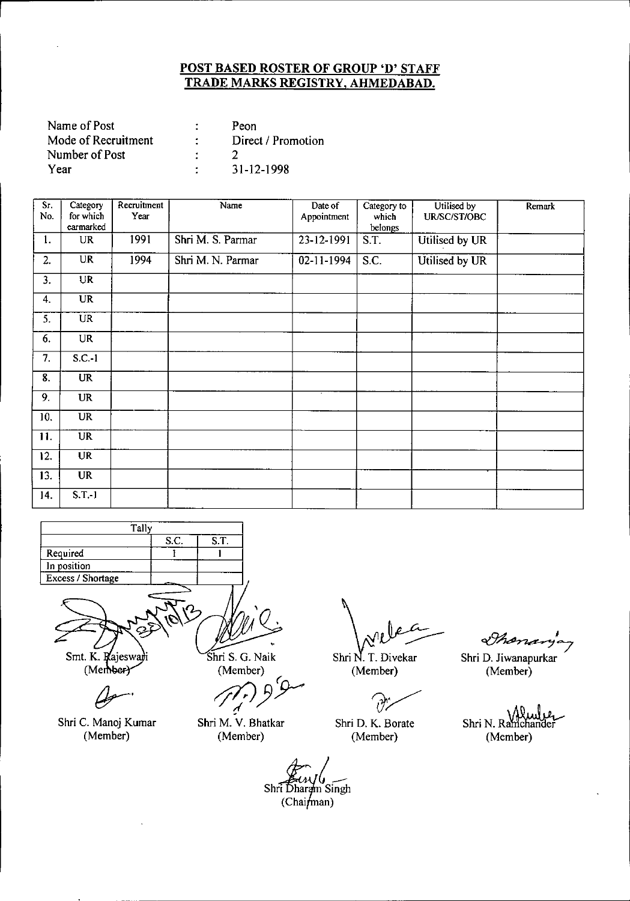| Name of Post        | Peon               |
|---------------------|--------------------|
| Mode of Recruitment | Direct / Promotion |
| Number of Post      |                    |
| Year                | $31 - 12 - 1998$   |

| S.<br>No.        | Category<br>for which    | Recruitment<br>Year | Name              | Date of<br>Appointment | Category to<br>which | Utilised by<br>UR/SC/ST/OBC | Remark |
|------------------|--------------------------|---------------------|-------------------|------------------------|----------------------|-----------------------------|--------|
|                  | earmarked                |                     |                   |                        | belongs              |                             |        |
| 1.               | UR                       | 1991                | Shri M. S. Parmar | 23-12-1991             | S.T.                 | Utilised by UR              |        |
| 2.               | UR                       | 1994                | Shri M. N. Parmar | 02-11-1994             | S.C.                 | Utilised by UR              |        |
| $\overline{3}$ . | $\overline{\mathbf{UR}}$ |                     |                   |                        |                      |                             |        |
| 4.               | $\overline{UR}$          |                     |                   |                        |                      |                             |        |
| 5.               | <b>UR</b>                |                     |                   |                        |                      |                             |        |
| 6.               | <b>UR</b>                |                     |                   |                        |                      |                             |        |
| 7.               | $S.C.-1$                 |                     |                   |                        |                      |                             |        |
| 8.               | <b>UR</b>                |                     |                   |                        |                      |                             |        |
| 9.               | <b>UR</b>                |                     |                   |                        |                      |                             |        |
| 10.              | <b>UR</b>                |                     |                   |                        |                      |                             |        |
| 11.              | <b>UR</b>                |                     |                   |                        |                      |                             |        |
| 12.              | <b>UR</b>                |                     |                   |                        |                      |                             |        |
| 13.              | <b>UR</b>                |                     |                   |                        |                      |                             |        |
| 14.              | $S.T.-1$                 |                     |                   |                        |                      |                             |        |



Smt. K. Rajeswaji (Member)

*{jr-'*

Shri C. Manoj Kumar (Member)

Shri S. G. Naik

(Member)

Shri M. V. Bhatkar (Member)

Shri N. T. Divekar (Member)

Shri D. K. Borate (Member)

Shananja,

Shri D. Jiwanapurkar (Member)

Shri N. Ramchander (Member)

*d?~t\_* Shri Dharam Singh  $(Chain_{man})$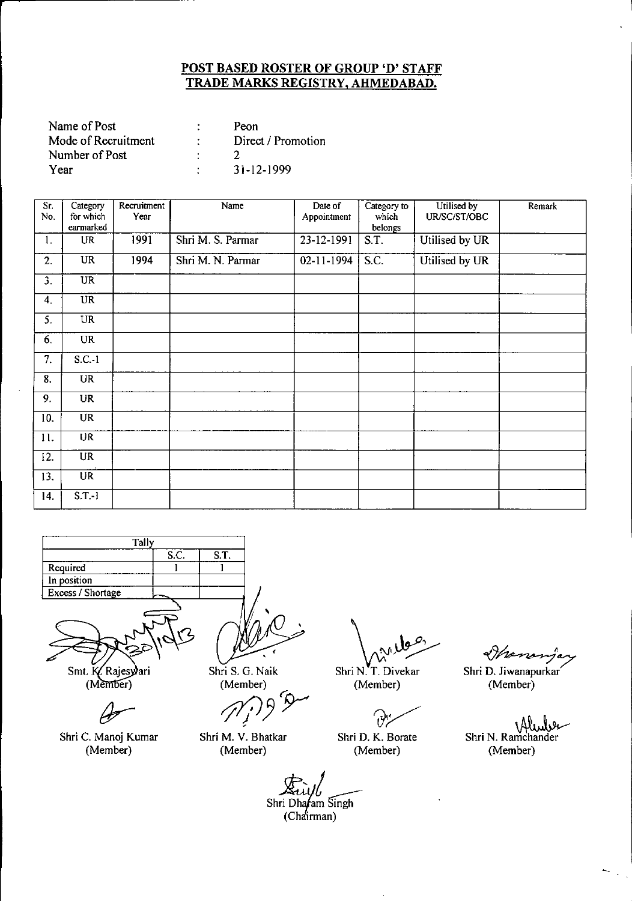| Name of Post        | Peon               |
|---------------------|--------------------|
| Mode of Recruitment | Direct / Promotion |
| Number of Post      |                    |
| Year                | 31-12-1999         |

| Sr.<br>No. | Category<br>for which  | Recruitment<br>Year | Name              | Date of<br>Appointment | Category to<br>which | Utilised by<br>UR/SC/ST/OBC | Remark |
|------------|------------------------|---------------------|-------------------|------------------------|----------------------|-----------------------------|--------|
|            | earmarked              |                     |                   |                        | belongs              |                             |        |
| 1.         | UR                     | 1991                | Shri M. S. Parmar | 23-12-1991             | S.T.                 | Utilised by UR              |        |
| 2.         | <b>UR</b>              | 1994                | Shri M. N. Parmar | $02 - 11 - 1994$       | S.C.                 | Utilised by UR              |        |
| 3.         | $\overline{\text{UR}}$ |                     |                   |                        |                      |                             |        |
| 4.         | UR                     |                     |                   |                        |                      |                             |        |
| 5.         | <b>UR</b>              |                     |                   |                        |                      |                             |        |
| 6.         | <b>UR</b>              |                     |                   |                        |                      |                             |        |
| 7.         | $S.C.-1$               |                     |                   |                        |                      |                             |        |
| 8.         | UR                     |                     |                   |                        |                      |                             |        |
| 9.         | <b>UR</b>              |                     |                   |                        |                      |                             |        |
| 10.        | <b>UR</b>              |                     |                   |                        |                      |                             |        |
| 11.        | <b>UR</b>              |                     |                   |                        |                      |                             |        |
| 12.        | <b>UR</b>              |                     |                   |                        |                      |                             |        |
| 13.        | $\overline{UR}$        |                     |                   |                        |                      |                             |        |
| 14.        | $S.T.-1$               |                     |                   |                        |                      |                             |        |



Smt. K. Rajesyari

(Member)

Ĝ

Shri C. Manoj Kumar (Member)

Shri S. G. Naik (Member)

*rf!/J3~*

Shri M. V. Bhatkar (Member)

 $\bigwedge_{\mathsf{Shri}\ \mathsf{N},\ \mathsf{T}. \ \mathsf{Divekar}}$ 

(Member)

 $\partial$ Shri D. K. Borate

(Member)

~

Shri D. JiWanapurkar/ (Member)

Shri N. Ramchander (Member)

Shri Dhafam Singh (Chairman)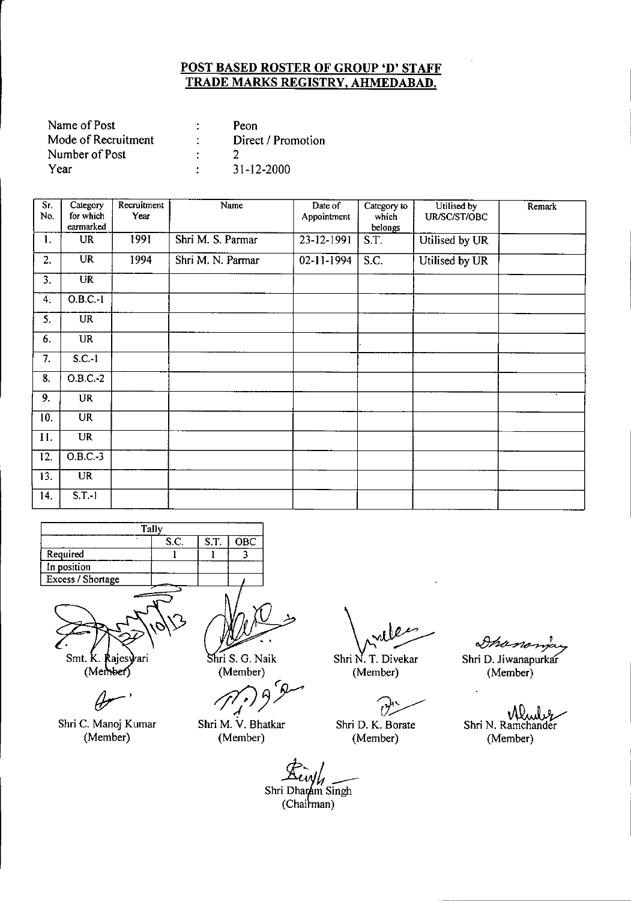| Name of Post        | Peon               |
|---------------------|--------------------|
| Mode of Recruitment | Direct / Promotion |
| Number of Post      |                    |
| Year                | 31-12-2000         |

| Sr.<br>No.        | Category<br>for which | Recruitment<br>Year | Name              | Date of<br>Appointment | Category to<br>which | Utilised by<br>UR/SC/ST/OBC | Remark |
|-------------------|-----------------------|---------------------|-------------------|------------------------|----------------------|-----------------------------|--------|
|                   | earmarked             |                     |                   |                        | belongs              |                             |        |
| 1.                | <b>UR</b>             | 1991                | Shri M. S. Parmar | 23-12-1991             | S.T.                 | Utilised by UR              |        |
| 2.                | <b>UR</b>             | 1994                | Shri M. N. Parmar | 02-11-1994             | S.C.                 | Utilised by UR              |        |
| 3 <sup>2</sup>    | <b>UR</b>             |                     |                   |                        |                      |                             |        |
| 4.                | O.B.C.1               |                     |                   |                        |                      |                             |        |
| 5.                | <b>UR</b>             |                     |                   |                        |                      |                             |        |
| 6.                | <b>UR</b>             |                     |                   |                        |                      |                             |        |
| 7.                | $S.C.-1$              |                     |                   |                        |                      |                             |        |
| 8.                | $O.B.C.-2$            |                     |                   |                        |                      |                             |        |
| 9.                | <b>UR</b>             |                     |                   |                        |                      |                             |        |
| 10.               | <b>UR</b>             |                     |                   |                        |                      |                             |        |
| 11.               | <b>UR</b>             |                     |                   |                        |                      |                             |        |
| $\overline{12}$ . | $O.B.C.-3$            |                     |                   |                        |                      |                             |        |
| 13.               | <b>UR</b>             |                     |                   |                        |                      |                             |        |
| 14.               | $S.T.-1$              |                     |                   |                        |                      |                             |        |

|                   | <b>Tally</b> |      |            |
|-------------------|--------------|------|------------|
|                   | S.C.         | S.T. | <b>OBC</b> |
| Required          |              |      |            |
| In position       |              |      |            |
| Excess / Shortage |              |      |            |
|                   |              |      |            |

Smt. K. ari **lajes** (Member)

Shri C. Manoj Kumar (Member)

ri S. G. Naik

(Member)<br>*<i>//////9*<sup>*9*</sup>

Shri M. V. Bhatkar (Member)

Shri N. T. Divekar<br>Shri N. T. Divekar Sh

(Member)

 $\overbrace{R}^{(n)}$ Shri D. K. Borate

(Member)

Inanon

Shri D. Jiwanapurkar (Member)

Shri N. Ramchander (Member)

Eively<br>Shri Dharam Singh

 $\overline{\overline{\text{}}\text{D}}$ <br>(Ch  $(Chainman)$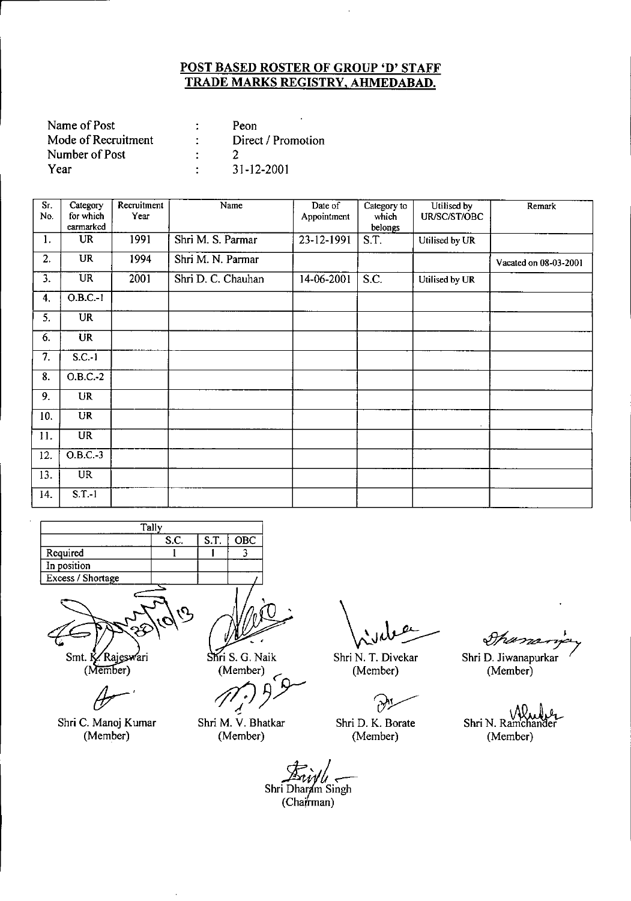| Name of Post        |   | Peon               |
|---------------------|---|--------------------|
| Mode of Recruitment |   | Direct / Promotion |
| Number of Post      | ٠ |                    |
| Year                |   | 31-12-2001         |

| Sr.<br>No.       | Category<br>for which  | Recruitment<br>Year | Name               | Date of<br>Appointment | Category to<br>which | Utilised by<br>UR/SC/ST/OBC | Remark                |
|------------------|------------------------|---------------------|--------------------|------------------------|----------------------|-----------------------------|-----------------------|
|                  | earmarked              |                     |                    |                        | belongs              |                             |                       |
| 1.               | <b>UR</b>              | 1991                | Shri M. S. Parmar  | 23-12-1991             | S.T.                 | Utilised by UR              |                       |
| 2.               | <b>UR</b>              | 1994                | Shri M. N. Parmar  |                        |                      |                             | Vacated on 08-03-2001 |
| 3.               | <b>UR</b>              | 2001                | Shri D. C. Chauhan | 14-06-2001             | S.C.                 | Utilised by UR              |                       |
| $\boldsymbol{4}$ | 0.B.C.1                |                     |                    |                        |                      |                             |                       |
| 5.               | UR                     |                     |                    |                        |                      |                             |                       |
| 6.               | <b>UR</b>              |                     |                    |                        |                      |                             |                       |
| $\overline{7}$ . | $S.C.-1$               |                     |                    |                        |                      |                             |                       |
| $\overline{8}$ . | $O.B.C.-2$             |                     |                    |                        |                      |                             |                       |
| 9.               | UR                     |                     |                    |                        |                      |                             |                       |
| 10.              | <b>UR</b>              |                     |                    |                        |                      |                             |                       |
| 11.              | UR                     |                     |                    |                        |                      |                             |                       |
| 12.              | $O.B.C.-3$             |                     |                    |                        |                      |                             |                       |
| 13.              | $\overline{\text{UR}}$ |                     |                    |                        |                      |                             |                       |
| 14.              | $S.T.-1$               |                     |                    |                        |                      |                             |                       |



Smt. K. Rajeswari (Member)

Shri C. Manoj Kumar (Member)

 $\stackrel{\vee}{\rightarrow}$ Shri S. G. Naik

(Member)<br>(*1*<sup>*2*</sup>*)*  $9^9$ 

Shri M. V. Bhatkar (Member)

 $\sqrt{\frac{1}{2}}$ 

Shri N. T. Divekar (Member)

**P1** 

Shri D. K. Borate (Member)

Shama

Shri D. Jiwanapurkar (Member)

Shri N. Ramchan (Member)

Shri Dharam Singh  $(Cha**r**man)$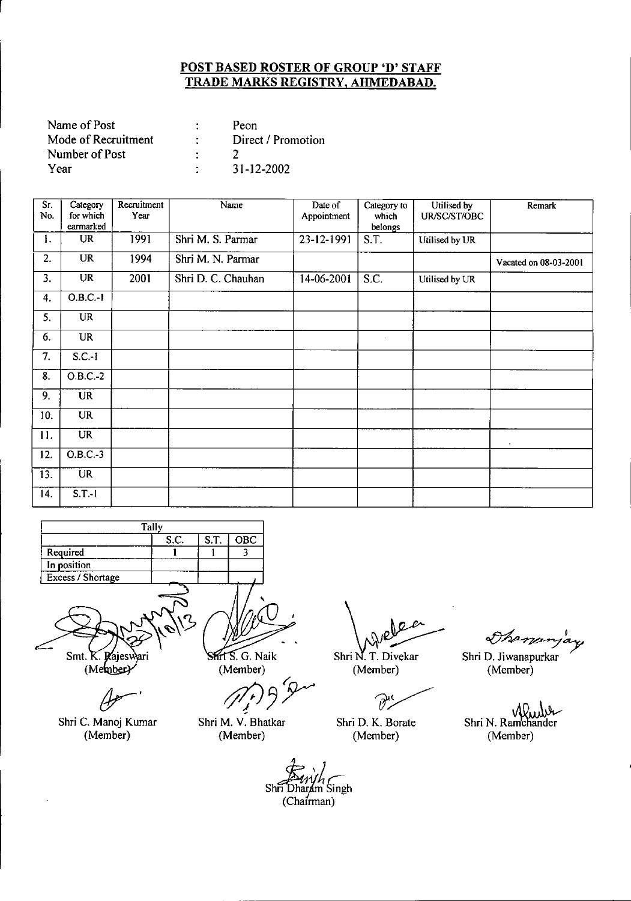| Name of Post        | Peon               |
|---------------------|--------------------|
| Mode of Recruitment | Direct / Promotion |
| Number of Post      |                    |
| Year                | $31 - 12 - 2002$   |

| Sr.<br>No.                | Category<br>for which  | Recruitment<br>Year | Name               | Date of<br>Appointment | Category to<br>which | Utilised by<br>UR/SC/ST/OBC | Remark                |
|---------------------------|------------------------|---------------------|--------------------|------------------------|----------------------|-----------------------------|-----------------------|
|                           | earmarked              |                     |                    |                        | belongs              |                             |                       |
| 1.                        | <b>UR</b>              | 1991                | Shri M. S. Parmar  | 23-12-1991             | S.T.                 | Utilised by UR              |                       |
| 2.                        | <b>UR</b>              | 1994                | Shri M. N. Parmar  |                        |                      |                             | Vacated on 08-03-2001 |
| 3.                        | $\overline{\text{UR}}$ | 2001                | Shri D. C. Chauhan | 14-06-2001             | $\overline{S.C.}$    | Utilised by UR              |                       |
| 4.                        | O.B.C.1                |                     |                    |                        |                      |                             |                       |
| 5.                        | <b>UR</b>              |                     |                    |                        |                      |                             |                       |
| 6.                        | <b>UR</b>              |                     |                    |                        | $\mathcal{L}$        |                             |                       |
| 7.                        | $S.C.-I$               |                     |                    |                        |                      |                             |                       |
| $\overline{\mathbf{8}}$ . | $O.B.C. -2$            |                     |                    |                        |                      |                             |                       |
| 9.                        | <b>UR</b>              |                     |                    |                        |                      |                             |                       |
| 10.                       | <b>UR</b>              |                     |                    |                        |                      |                             |                       |
| 11.                       | <b>UR</b>              |                     |                    |                        |                      |                             |                       |
| 12.                       | O.B.C.3                |                     |                    |                        |                      |                             |                       |
| 13.                       | <b>UR</b>              |                     |                    |                        |                      |                             |                       |
| 14.                       | $S.T.-1$               |                     |                    |                        |                      |                             |                       |

|                   | Tally |      |     |
|-------------------|-------|------|-----|
|                   | S.C.  | S.T. | OBC |
| Required          |       |      |     |
| In position       |       |      |     |
| Excess / Shortage |       |      |     |
|                   |       |      |     |

Smt.  $K$ . Raiesy яrі (Member)

Shri C. Manoj Kumar (Member)

.G. Naik (Member)

t'. **15**. G. Naik<br>Member)<br>(*J*<sup>*r*</sup>*r*) 9

Shri M. V. Bhatkar (Member)

Shri N. T. Divekar  $\backslash_{\mathcal{N}}$ e

(Member)

 $\widehat{\mathcal{Y}}^{\mathfrak{c}}$ 

Shri D. K. Borate (Member)

Thenanjay

Shri D. Jiwanapurkar (Member)

Shri N. Ramchander (Member)

 $\n \overleftrightarrow{E_{\text{tr}}}$ Shri Dharam Singh  $(Chafrman)$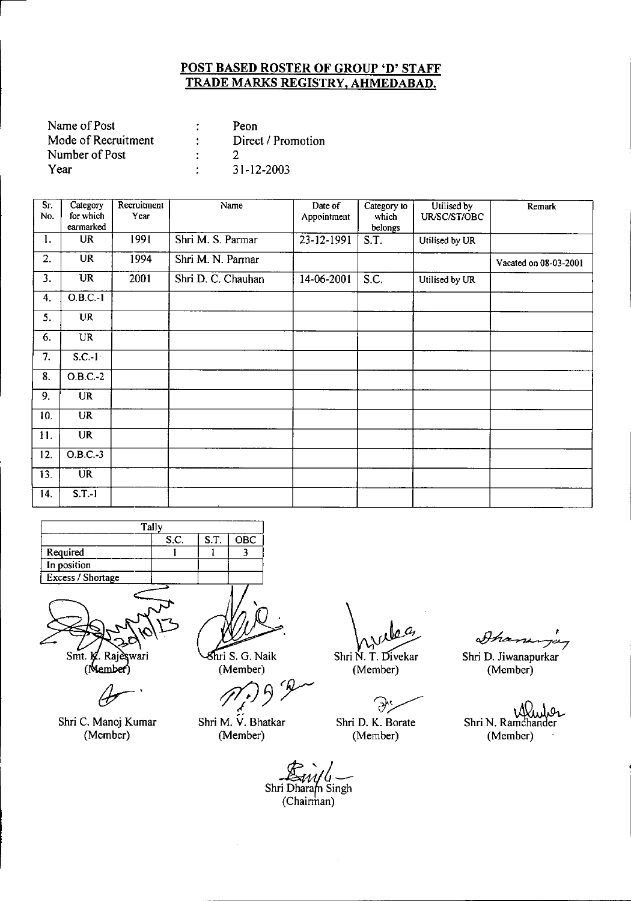| Name of Post        | Peon               |
|---------------------|--------------------|
| Mode of Recruitment | Direct / Promotion |
| Number of Post      |                    |
| Year                | 31-12-2003         |

| Sr.<br>No.                | Category<br>for which  | Recruitment<br>Year | Name               | Date of<br>Appointment | Category to<br>which | Utilised by<br>UR/SC/ST/OBC | Remark                |
|---------------------------|------------------------|---------------------|--------------------|------------------------|----------------------|-----------------------------|-----------------------|
|                           | earmarked              |                     |                    |                        | belongs              |                             |                       |
| 1.                        | <b>UR</b>              | 1991                | Shri M. S. Parmar  | 23-12-1991             | S.T.                 | Utilised by UR              |                       |
| 2.                        | <b>UR</b>              | 1994                | Shri M. N. Parmar  |                        |                      |                             | Vacated on 08-03-2001 |
| 3.                        | $\overline{\text{UR}}$ | 2001                | Shri D. C. Chauhan | 14-06-2001             | $\overline{S.C.}$    | Utilised by UR              |                       |
| 4.                        | $O.B.C.-1$             |                     |                    |                        |                      |                             |                       |
| 5.                        | <b>UR</b>              |                     |                    |                        |                      |                             |                       |
| 6.                        | <b>UR</b>              |                     |                    |                        |                      |                             |                       |
| $\overline{7}$ .          | $S.C.-1$               |                     |                    |                        |                      |                             |                       |
| $\overline{\mathbf{8}}$ . | $O.B.C.-2$             |                     |                    |                        |                      |                             |                       |
| 9.                        | <b>UR</b>              |                     |                    |                        |                      |                             |                       |
| 10.                       | UR                     |                     |                    |                        |                      |                             |                       |
| 11.                       | <b>UR</b>              |                     |                    |                        |                      |                             |                       |
| 12.                       | $O.B.C.-3$             |                     |                    |                        |                      |                             |                       |
| 13.                       | <b>UR</b>              |                     |                    |                        |                      |                             |                       |
| 14.                       | $S.T.-1$               |                     |                    |                        |                      |                             |                       |

| Tally             |  |      |      |            |  |  |
|-------------------|--|------|------|------------|--|--|
|                   |  | S.C. | S.T. | <b>OBC</b> |  |  |
| Required          |  |      |      |            |  |  |
| In position       |  |      |      |            |  |  |
| Excess / Shortage |  |      |      |            |  |  |
|                   |  |      |      |            |  |  |



(Member)

Shri C. Manoj Kumar (Member)

ri S. G. Naik (Member)

*ti* S. G. Naik<br>
(Member)<br>
(*M*<sub>*t*</sub>) 9 <sup>*p*</sup> */* .- Shri M. V. Bhatkar

(Member)

*~\f,J.ft* Shri N. T. Divekar

(Member)

سمبولي<br>Shri D. K. Borate

(Member)

Shaningay

Shri D. Jiwanapurkar (Member)

Shri N. Ramchander سەكىل (Member)

*}k/A:/6~* Shri Dharam Singh (Chairman)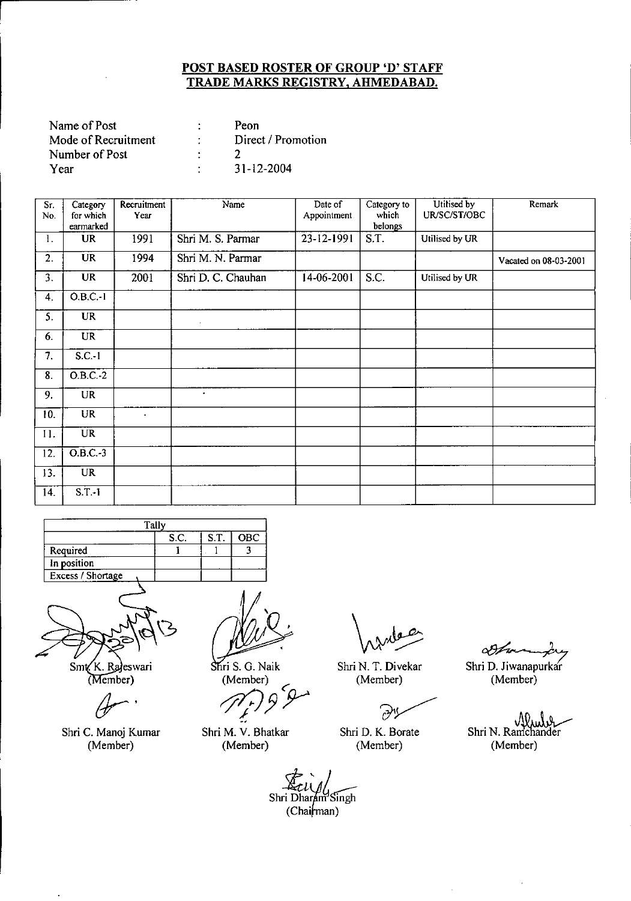| Name of Post        | Peon               |
|---------------------|--------------------|
| Mode of Recruitment | Direct / Promotion |
| Number of Post      |                    |
| Year                | $31 - 12 - 2004$   |

| Sr.<br>No.                | Category<br>for which  | Recruitment<br>Year | Name               | Date of<br>Appointment | Category to<br>which | Utilised by<br>UR/SC/ST/OBC | Remark                |
|---------------------------|------------------------|---------------------|--------------------|------------------------|----------------------|-----------------------------|-----------------------|
|                           | earmarked              |                     |                    |                        | belongs              |                             |                       |
| 1.                        | <b>UR</b>              | 1991                | Shri M. S. Parmar  | 23-12-1991             | S.T.                 | Utilised by UR              |                       |
| 2.                        | <b>UR</b>              | 1994                | Shri M. N. Parmar  |                        |                      |                             | Vacated on 08-03-2001 |
| 3.                        | <b>UR</b>              | 2001                | Shri D. C. Chauhan | 14-06-2001             | S.C.                 | Utilised by UR              |                       |
| 4.                        | $O.B.C.-1$             |                     |                    |                        |                      |                             |                       |
| 5.                        | <b>UR</b>              |                     | $\cdot$            |                        |                      |                             |                       |
| 6.                        | <b>UR</b>              |                     |                    |                        |                      |                             |                       |
| 7.                        | $S.C.-1$               |                     |                    |                        |                      |                             |                       |
| $\overline{\mathbf{8}}$ . | $O.B.C.-2$             |                     |                    |                        |                      |                             |                       |
| 9.                        | <b>UR</b>              |                     | $\bullet$          |                        |                      |                             |                       |
| 10.                       | <b>UR</b>              | ×.                  |                    |                        |                      |                             |                       |
| 11.                       | <b>UR</b>              |                     |                    |                        |                      |                             |                       |
| 12.                       | $\overline{O}$ .B.C.-3 |                     |                    |                        |                      |                             |                       |
| 13.                       | <b>UR</b>              |                     |                    |                        |                      |                             |                       |
| 14.                       | $S.T.-1$               |                     |                    |                        |                      |                             |                       |

|                   | Tally |      |     |
|-------------------|-------|------|-----|
|                   | S.C.  | S.T. | OBC |
| Required          |       |      |     |
| In position       |       |      |     |
| Excess / Shortage |       |      |     |
|                   |       |      |     |



Smt K. Rajeswari (Member)

*Yr'*

Shri C. Manoj Kumar (Member)

 $\mathbf{r}$ 

Shri S. G. Naik ~

(Member)<br>*J*<sub>p</sub><sup>1</sup></sub>*p*<sub>2</sub>

Shri M. V. Bhatkar (Member)

Shri N. T. Oivekar (Member)

باللوق<br>م

 $\bar{z}$ 

Shri O. K. Borate (Member)

09 f re

Shri D. Jiwanapurkar (Member)

Muhv Shri N. Ramchander (Member)

Shri Dharam Singh  $(Chain$